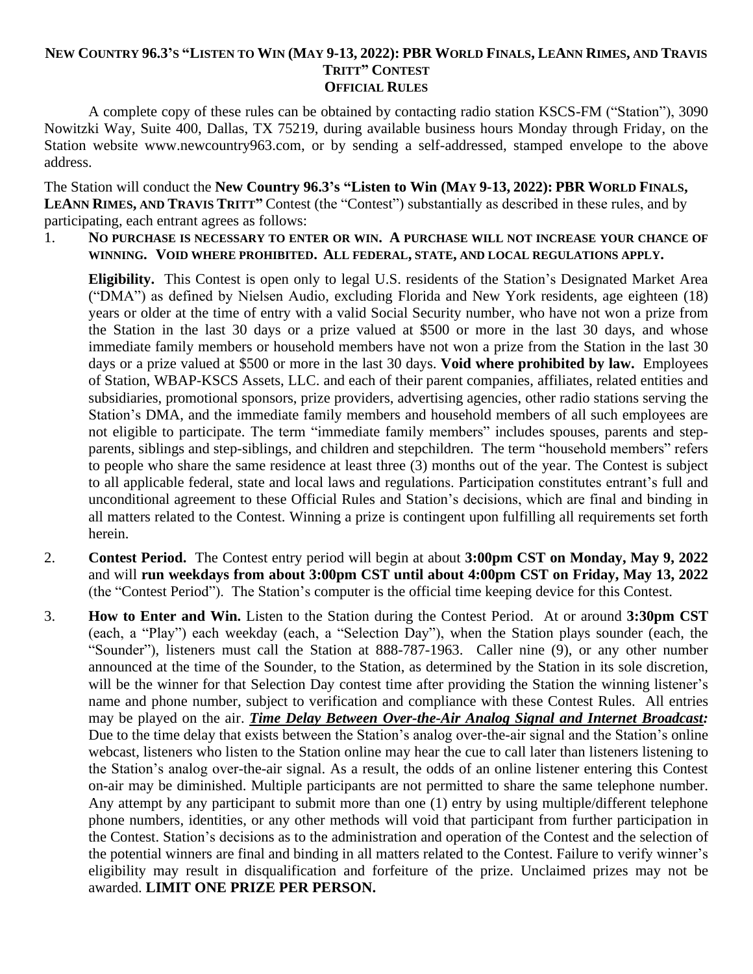## NEW COUNTRY 96.3's "LISTEN TO WIN (MAY 9-13, 2022): PBR WORLD FINALS, LEANN RIMES, AND TRAVIS **TRITT" CONTEST OFFICIAL RULES**

A complete copy of these rules can be obtained by contacting radio station KSCS-FM ("Station"), 3090 Nowitzki Way, Suite 400, Dallas, TX 75219, during available business hours Monday through Friday, on the Station website www.newcountry963.com, or by sending a self-addressed, stamped envelope to the above address.

The Station will conduct the **New Country 96.3's "Listen to Win (MAY 9-13, 2022): PBR WORLD FINALS, LEANN RIMES, AND TRAVIS TRITT"** Contest (the "Contest") substantially as described in these rules, and by participating, each entrant agrees as follows:

1. **NO PURCHASE IS NECESSARY TO ENTER OR WIN. A PURCHASE WILL NOT INCREASE YOUR CHANCE OF WINNING. VOID WHERE PROHIBITED. ALL FEDERAL, STATE, AND LOCAL REGULATIONS APPLY.**

**Eligibility.** This Contest is open only to legal U.S. residents of the Station's Designated Market Area ("DMA") as defined by Nielsen Audio, excluding Florida and New York residents, age eighteen (18) years or older at the time of entry with a valid Social Security number, who have not won a prize from the Station in the last 30 days or a prize valued at \$500 or more in the last 30 days, and whose immediate family members or household members have not won a prize from the Station in the last 30 days or a prize valued at \$500 or more in the last 30 days. **Void where prohibited by law.** Employees of Station, WBAP-KSCS Assets, LLC. and each of their parent companies, affiliates, related entities and subsidiaries, promotional sponsors, prize providers, advertising agencies, other radio stations serving the Station's DMA, and the immediate family members and household members of all such employees are not eligible to participate. The term "immediate family members" includes spouses, parents and stepparents, siblings and step-siblings, and children and stepchildren. The term "household members" refers to people who share the same residence at least three (3) months out of the year. The Contest is subject to all applicable federal, state and local laws and regulations. Participation constitutes entrant's full and unconditional agreement to these Official Rules and Station's decisions, which are final and binding in all matters related to the Contest. Winning a prize is contingent upon fulfilling all requirements set forth herein.

- 2. **Contest Period.** The Contest entry period will begin at about **3:00pm CST on Monday, May 9, 2022** and will **run weekdays from about 3:00pm CST until about 4:00pm CST on Friday, May 13, 2022** (the "Contest Period"). The Station's computer is the official time keeping device for this Contest.
- 3. **How to Enter and Win.** Listen to the Station during the Contest Period. At or around **3:30pm CST** (each, a "Play") each weekday (each, a "Selection Day"), when the Station plays sounder (each, the "Sounder"), listeners must call the Station at 888-787-1963. Caller nine (9), or any other number announced at the time of the Sounder, to the Station, as determined by the Station in its sole discretion, will be the winner for that Selection Day contest time after providing the Station the winning listener's name and phone number, subject to verification and compliance with these Contest Rules. All entries may be played on the air. *Time Delay Between Over-the-Air Analog Signal and Internet Broadcast:* Due to the time delay that exists between the Station's analog over-the-air signal and the Station's online webcast, listeners who listen to the Station online may hear the cue to call later than listeners listening to the Station's analog over-the-air signal. As a result, the odds of an online listener entering this Contest on-air may be diminished. Multiple participants are not permitted to share the same telephone number. Any attempt by any participant to submit more than one (1) entry by using multiple/different telephone phone numbers, identities, or any other methods will void that participant from further participation in the Contest. Station's decisions as to the administration and operation of the Contest and the selection of the potential winners are final and binding in all matters related to the Contest. Failure to verify winner's eligibility may result in disqualification and forfeiture of the prize. Unclaimed prizes may not be awarded. **LIMIT ONE PRIZE PER PERSON.**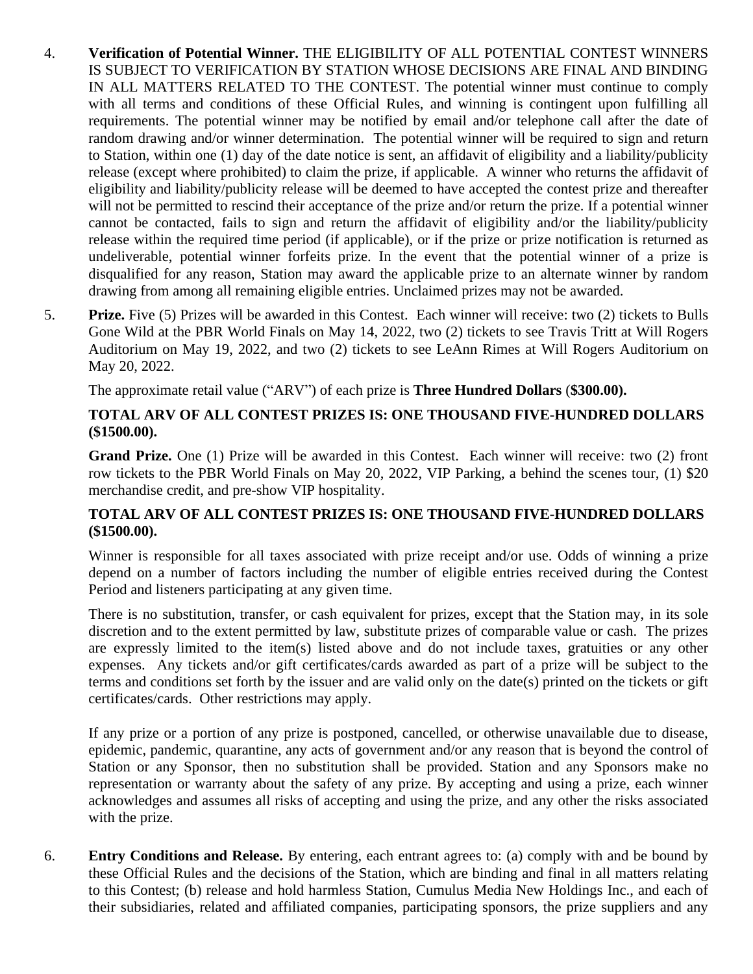- 4. **Verification of Potential Winner.** THE ELIGIBILITY OF ALL POTENTIAL CONTEST WINNERS IS SUBJECT TO VERIFICATION BY STATION WHOSE DECISIONS ARE FINAL AND BINDING IN ALL MATTERS RELATED TO THE CONTEST. The potential winner must continue to comply with all terms and conditions of these Official Rules, and winning is contingent upon fulfilling all requirements. The potential winner may be notified by email and/or telephone call after the date of random drawing and/or winner determination. The potential winner will be required to sign and return to Station, within one (1) day of the date notice is sent, an affidavit of eligibility and a liability/publicity release (except where prohibited) to claim the prize, if applicable. A winner who returns the affidavit of eligibility and liability/publicity release will be deemed to have accepted the contest prize and thereafter will not be permitted to rescind their acceptance of the prize and/or return the prize. If a potential winner cannot be contacted, fails to sign and return the affidavit of eligibility and/or the liability/publicity release within the required time period (if applicable), or if the prize or prize notification is returned as undeliverable, potential winner forfeits prize. In the event that the potential winner of a prize is disqualified for any reason, Station may award the applicable prize to an alternate winner by random drawing from among all remaining eligible entries. Unclaimed prizes may not be awarded.
- 5. **Prize.** Five (5) Prizes will be awarded in this Contest. Each winner will receive: two (2) tickets to Bulls Gone Wild at the PBR World Finals on May 14, 2022, two (2) tickets to see Travis Tritt at Will Rogers Auditorium on May 19, 2022, and two (2) tickets to see LeAnn Rimes at Will Rogers Auditorium on May 20, 2022.

The approximate retail value ("ARV") of each prize is **Three Hundred Dollars** (**\$300.00).** 

## **TOTAL ARV OF ALL CONTEST PRIZES IS: ONE THOUSAND FIVE-HUNDRED DOLLARS (\$1500.00).**

**Grand Prize.** One (1) Prize will be awarded in this Contest. Each winner will receive: two (2) front row tickets to the PBR World Finals on May 20, 2022, VIP Parking, a behind the scenes tour, (1) \$20 merchandise credit, and pre-show VIP hospitality.

## **TOTAL ARV OF ALL CONTEST PRIZES IS: ONE THOUSAND FIVE-HUNDRED DOLLARS (\$1500.00).**

Winner is responsible for all taxes associated with prize receipt and/or use. Odds of winning a prize depend on a number of factors including the number of eligible entries received during the Contest Period and listeners participating at any given time.

There is no substitution, transfer, or cash equivalent for prizes, except that the Station may, in its sole discretion and to the extent permitted by law, substitute prizes of comparable value or cash. The prizes are expressly limited to the item(s) listed above and do not include taxes, gratuities or any other expenses. Any tickets and/or gift certificates/cards awarded as part of a prize will be subject to the terms and conditions set forth by the issuer and are valid only on the date(s) printed on the tickets or gift certificates/cards. Other restrictions may apply.

If any prize or a portion of any prize is postponed, cancelled, or otherwise unavailable due to disease, epidemic, pandemic, quarantine, any acts of government and/or any reason that is beyond the control of Station or any Sponsor, then no substitution shall be provided. Station and any Sponsors make no representation or warranty about the safety of any prize. By accepting and using a prize, each winner acknowledges and assumes all risks of accepting and using the prize, and any other the risks associated with the prize.

6. **Entry Conditions and Release.** By entering, each entrant agrees to: (a) comply with and be bound by these Official Rules and the decisions of the Station, which are binding and final in all matters relating to this Contest; (b) release and hold harmless Station, Cumulus Media New Holdings Inc., and each of their subsidiaries, related and affiliated companies, participating sponsors, the prize suppliers and any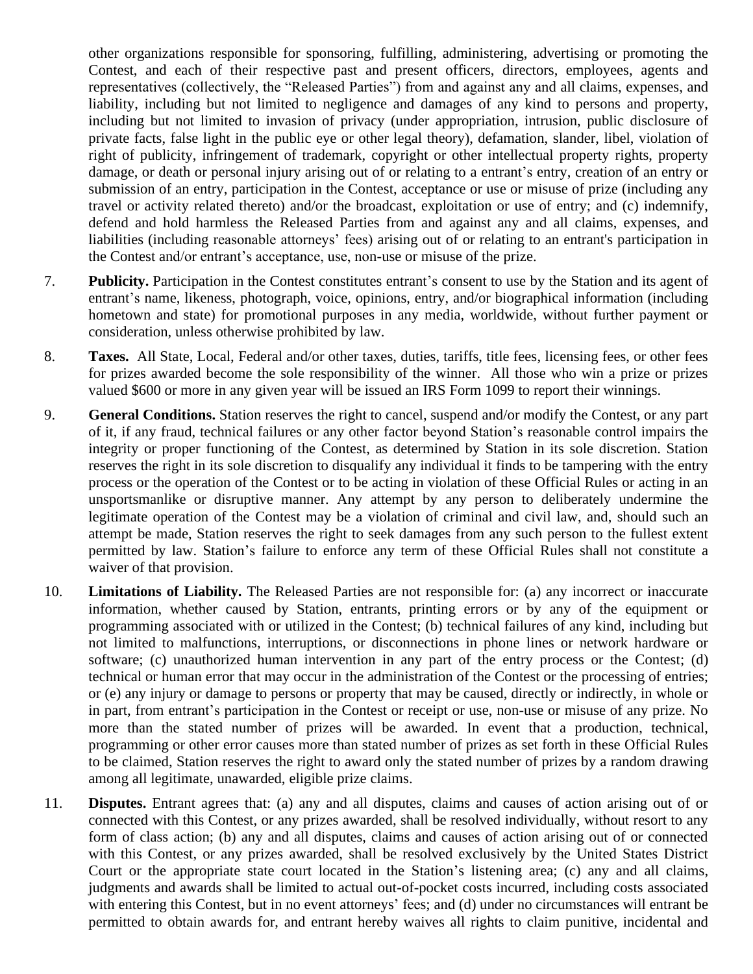other organizations responsible for sponsoring, fulfilling, administering, advertising or promoting the Contest, and each of their respective past and present officers, directors, employees, agents and representatives (collectively, the "Released Parties") from and against any and all claims, expenses, and liability, including but not limited to negligence and damages of any kind to persons and property, including but not limited to invasion of privacy (under appropriation, intrusion, public disclosure of private facts, false light in the public eye or other legal theory), defamation, slander, libel, violation of right of publicity, infringement of trademark, copyright or other intellectual property rights, property damage, or death or personal injury arising out of or relating to a entrant's entry, creation of an entry or submission of an entry, participation in the Contest, acceptance or use or misuse of prize (including any travel or activity related thereto) and/or the broadcast, exploitation or use of entry; and (c) indemnify, defend and hold harmless the Released Parties from and against any and all claims, expenses, and liabilities (including reasonable attorneys' fees) arising out of or relating to an entrant's participation in the Contest and/or entrant's acceptance, use, non-use or misuse of the prize.

- 7. **Publicity.** Participation in the Contest constitutes entrant's consent to use by the Station and its agent of entrant's name, likeness, photograph, voice, opinions, entry, and/or biographical information (including hometown and state) for promotional purposes in any media, worldwide, without further payment or consideration, unless otherwise prohibited by law.
- 8. **Taxes.** All State, Local, Federal and/or other taxes, duties, tariffs, title fees, licensing fees, or other fees for prizes awarded become the sole responsibility of the winner. All those who win a prize or prizes valued \$600 or more in any given year will be issued an IRS Form 1099 to report their winnings.
- 9. **General Conditions.** Station reserves the right to cancel, suspend and/or modify the Contest, or any part of it, if any fraud, technical failures or any other factor beyond Station's reasonable control impairs the integrity or proper functioning of the Contest, as determined by Station in its sole discretion. Station reserves the right in its sole discretion to disqualify any individual it finds to be tampering with the entry process or the operation of the Contest or to be acting in violation of these Official Rules or acting in an unsportsmanlike or disruptive manner. Any attempt by any person to deliberately undermine the legitimate operation of the Contest may be a violation of criminal and civil law, and, should such an attempt be made, Station reserves the right to seek damages from any such person to the fullest extent permitted by law. Station's failure to enforce any term of these Official Rules shall not constitute a waiver of that provision.
- 10. **Limitations of Liability.** The Released Parties are not responsible for: (a) any incorrect or inaccurate information, whether caused by Station, entrants, printing errors or by any of the equipment or programming associated with or utilized in the Contest; (b) technical failures of any kind, including but not limited to malfunctions, interruptions, or disconnections in phone lines or network hardware or software; (c) unauthorized human intervention in any part of the entry process or the Contest; (d) technical or human error that may occur in the administration of the Contest or the processing of entries; or (e) any injury or damage to persons or property that may be caused, directly or indirectly, in whole or in part, from entrant's participation in the Contest or receipt or use, non-use or misuse of any prize. No more than the stated number of prizes will be awarded. In event that a production, technical, programming or other error causes more than stated number of prizes as set forth in these Official Rules to be claimed, Station reserves the right to award only the stated number of prizes by a random drawing among all legitimate, unawarded, eligible prize claims.
- 11. **Disputes.** Entrant agrees that: (a) any and all disputes, claims and causes of action arising out of or connected with this Contest, or any prizes awarded, shall be resolved individually, without resort to any form of class action; (b) any and all disputes, claims and causes of action arising out of or connected with this Contest, or any prizes awarded, shall be resolved exclusively by the United States District Court or the appropriate state court located in the Station's listening area; (c) any and all claims, judgments and awards shall be limited to actual out-of-pocket costs incurred, including costs associated with entering this Contest, but in no event attorneys' fees; and (d) under no circumstances will entrant be permitted to obtain awards for, and entrant hereby waives all rights to claim punitive, incidental and